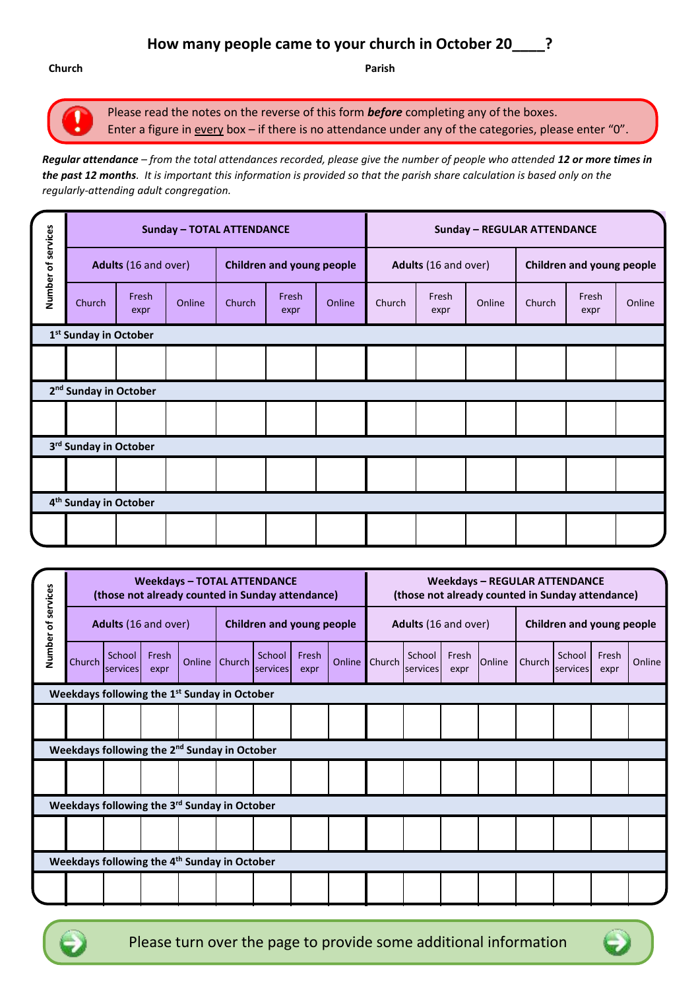# **How many people came to your church in October 20\_\_\_\_?**

**Church Parish**

Please read the notes on the reverse of this form *before* completing any of the boxes. Enter a figure in every box - if there is no attendance under any of the categories, please enter "0".

*Regular attendance – from the total attendances recorded, please give the number of people who attended 12 or more times in the past 12 months. It is important this information is provided so that the parish share calculation is based only on the regularly-attending adult congregation.*

|                                   |                                   |                      | <b>Sunday - TOTAL ATTENDANCE</b> |                                  |               | <b>Sunday - REGULAR ATTENDANCE</b> |                      |               |        |                           |               |        |  |
|-----------------------------------|-----------------------------------|----------------------|----------------------------------|----------------------------------|---------------|------------------------------------|----------------------|---------------|--------|---------------------------|---------------|--------|--|
| Number of services                |                                   | Adults (16 and over) |                                  | <b>Children and young people</b> |               |                                    | Adults (16 and over) |               |        | Children and young people |               |        |  |
|                                   | Church                            | Fresh<br>expr        | Online                           | Church                           | Fresh<br>expr | Online                             | Church               | Fresh<br>expr | Online | Church                    | Fresh<br>expr | Online |  |
|                                   | 1 <sup>st</sup> Sunday in October |                      |                                  |                                  |               |                                    |                      |               |        |                           |               |        |  |
|                                   |                                   |                      |                                  |                                  |               |                                    |                      |               |        |                           |               |        |  |
|                                   | 2 <sup>nd</sup> Sunday in October |                      |                                  |                                  |               |                                    |                      |               |        |                           |               |        |  |
|                                   |                                   |                      |                                  |                                  |               |                                    |                      |               |        |                           |               |        |  |
| 3 <sup>rd</sup> Sunday in October |                                   |                      |                                  |                                  |               |                                    |                      |               |        |                           |               |        |  |
|                                   |                                   |                      |                                  |                                  |               |                                    |                      |               |        |                           |               |        |  |
| 4 <sup>th</sup> Sunday in October |                                   |                      |                                  |                                  |               |                                    |                      |               |        |                           |               |        |  |
|                                   |                                   |                      |                                  |                                  |               |                                    |                      |               |        |                           |               |        |  |

|                    | <b>Weekdays - TOTAL ATTENDANCE</b><br>(those not already counted in Sunday attendance) |                    |               |        |                                  |                    |               |               | <b>Weekdays - REGULAR ATTENDANCE</b><br>(those not already counted in Sunday attendance) |                    |               |        |                           |                    |               |        |
|--------------------|----------------------------------------------------------------------------------------|--------------------|---------------|--------|----------------------------------|--------------------|---------------|---------------|------------------------------------------------------------------------------------------|--------------------|---------------|--------|---------------------------|--------------------|---------------|--------|
| Number of services | Adults (16 and over)                                                                   |                    |               |        | <b>Children and young people</b> |                    |               |               | Adults (16 and over)                                                                     |                    |               |        | Children and young people |                    |               |        |
|                    | Church                                                                                 | School<br>services | Fresh<br>expr | Online | Church                           | School<br>services | Fresh<br>expr | <b>Online</b> | Church                                                                                   | School<br>services | Fresh<br>expr | Online | Church                    | School<br>services | Fresh<br>expr | Online |
|                    | Weekdays following the 1 <sup>st</sup> Sunday in October                               |                    |               |        |                                  |                    |               |               |                                                                                          |                    |               |        |                           |                    |               |        |
|                    |                                                                                        |                    |               |        |                                  |                    |               |               |                                                                                          |                    |               |        |                           |                    |               |        |
|                    | Weekdays following the 2 <sup>nd</sup> Sunday in October                               |                    |               |        |                                  |                    |               |               |                                                                                          |                    |               |        |                           |                    |               |        |
|                    |                                                                                        |                    |               |        |                                  |                    |               |               |                                                                                          |                    |               |        |                           |                    |               |        |
|                    | Weekdays following the 3 <sup>rd</sup> Sunday in October                               |                    |               |        |                                  |                    |               |               |                                                                                          |                    |               |        |                           |                    |               |        |
|                    |                                                                                        |                    |               |        |                                  |                    |               |               |                                                                                          |                    |               |        |                           |                    |               |        |
|                    | Weekdays following the 4 <sup>th</sup> Sunday in October                               |                    |               |        |                                  |                    |               |               |                                                                                          |                    |               |        |                           |                    |               |        |
|                    |                                                                                        |                    |               |        |                                  |                    |               |               |                                                                                          |                    |               |        |                           |                    |               |        |